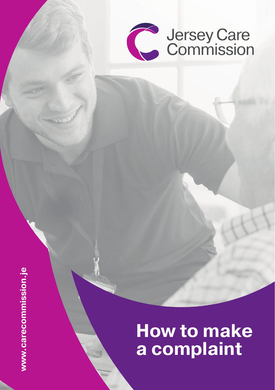

# www.carecommission.je **www.carecommission.je**

## **How to make a complaint**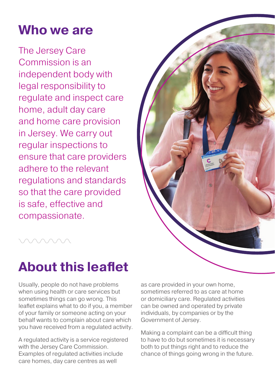#### **Who we are**

The Jersey Care Commission is an independent body with legal responsibility to regulate and inspect care home, adult day care and home care provision in Jersey. We carry out regular inspections to ensure that care providers adhere to the relevant regulations and standards so that the care provided is safe, effective and compassionate.



### **About this leaflet**

Usually, people do not have problems when using health or care services but sometimes things can go wrong. This leaflet explains what to do if you, a member of your family or someone acting on your behalf wants to complain about care which you have received from a regulated activity.

A regulated activity is a service registered with the Jersey Care Commission. Examples of regulated activities include care homes, day care centres as well

as care provided in your own home, sometimes referred to as care at home or domiciliary care. Regulated activities can be owned and operated by private individuals, by companies or by the Government of Jersey.

Making a complaint can be a difficult thing to have to do but sometimes it is necessary both to put things right and to reduce the chance of things going wrong in the future.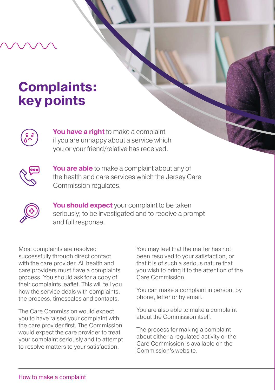#### **Complaints: key points**



**You have a right** to make a complaint if you are unhappy about a service which you or your friend/relative has received.



**You are able** to make a complaint about any of the health and care services which the Jersey Care Commission regulates.



**You should expect** your complaint to be taken seriously; to be investigated and to receive a prompt and full response.

Most complaints are resolved successfully through direct contact with the care provider. All health and care providers must have a complaints process. You should ask for a copy of their complaints leaflet. This will tell you how the service deals with complaints, the process, timescales and contacts.

The Care Commission would expect you to have raised your complaint with the care provider first. The Commission would expect the care provider to treat your complaint seriously and to attempt to resolve matters to your satisfaction.

You may feel that the matter has not been resolved to your satisfaction, or that it is of such a serious nature that you wish to bring it to the attention of the Care Commission.

You can make a complaint in person, by phone, letter or by email.

You are also able to make a complaint about the Commission itself.

The process for making a complaint about either a regulated activity or the Care Commission is available on the Commission's website.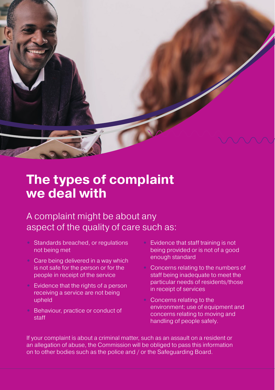

#### **The types of complaint we deal with**

#### A complaint might be about any aspect of the quality of care such as:

- **•** Standards breached, or regulations not being met
- **•** Care being delivered in a way which is not safe for the person or for the people in receipt of the service
- **•** Evidence that the rights of a person receiving a service are not being upheld
- **•** Behaviour, practice or conduct of staff
- **•** Evidence that staff training is not being provided or is not of a good enough standard
- **•** Concerns relating to the numbers of staff being inadequate to meet the particular needs of residents/those in receipt of services
- **•** Concerns relating to the environment; use of equipment and concerns relating to moving and handling of people safely.

If your complaint is about a criminal matter, such as an assault on a resident or an allegation of abuse, the Commission will be obliged to pass this information on to other bodies such as the police and / or the Safeguarding Board.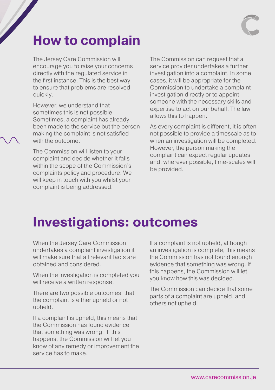

#### **How to complain**

The Jersey Care Commission will encourage you to raise your concerns directly with the regulated service in the first instance. This is the best way to ensure that problems are resolved quickly.

However, we understand that sometimes this is not possible. Sometimes, a complaint has already been made to the service but the person making the complaint is not satisfied with the outcome.

The Commission will listen to your complaint and decide whether it falls within the scope of the Commission's complaints policy and procedure. We will keep in touch with you whilst your complaint is being addressed.

The Commission can request that a service provider undertakes a further investigation into a complaint. In some cases, it will be appropriate for the Commission to undertake a complaint investigation directly or to appoint someone with the necessary skills and expertise to act on our behalf. The law allows this to happen.

As every complaint is different, it is often not possible to provide a timescale as to when an investigation will be completed. However, the person making the complaint can expect regular updates and, wherever possible, time-scales will be provided.

#### **Investigations: outcomes**

When the Jersey Care Commission undertakes a complaint investigation it will make sure that all relevant facts are obtained and considered.

When the investigation is completed you will receive a written response.

There are two possible outcomes: that the complaint is either upheld or not upheld.

If a complaint is upheld, this means that the Commission has found evidence that something was wrong. If this happens, the Commission will let you know of any remedy or improvement the service has to make.

If a complaint is not upheld, although an investigation is complete, this means the Commission has not found enough evidence that something was wrong. If this happens, the Commission will let you know how this was decided.

The Commission can decide that some parts of a complaint are upheld, and others not upheld.